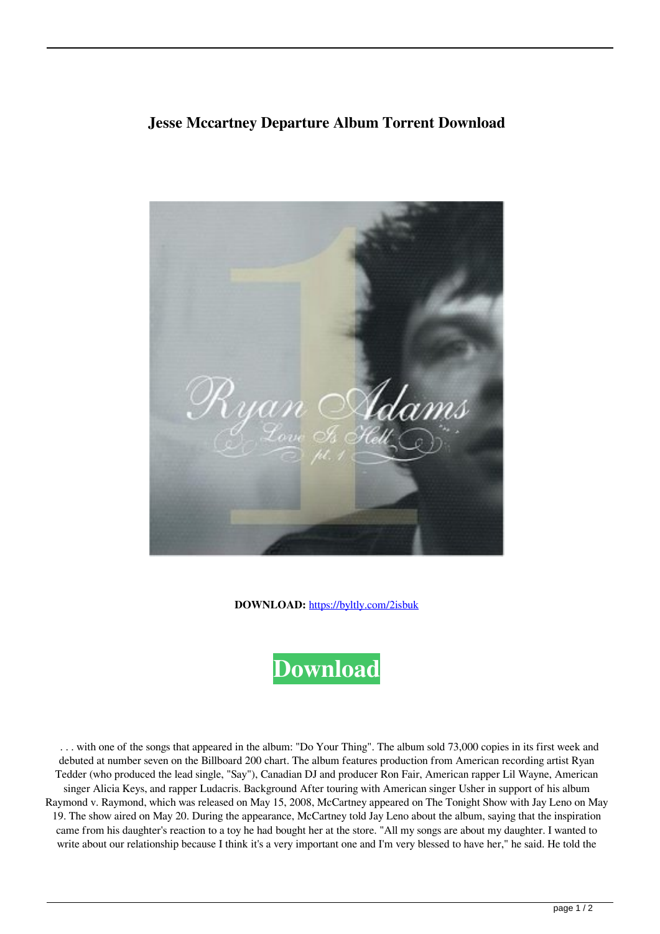## **Jesse Mccartney Departure Album Torrent Download**



**DOWNLOAD:** <https://byltly.com/2isbuk>



 . . . with one of the songs that appeared in the album: "Do Your Thing". The album sold 73,000 copies in its first week and debuted at number seven on the Billboard 200 chart. The album features production from American recording artist Ryan Tedder (who produced the lead single, "Say"), Canadian DJ and producer Ron Fair, American rapper Lil Wayne, American singer Alicia Keys, and rapper Ludacris. Background After touring with American singer Usher in support of his album Raymond v. Raymond, which was released on May 15, 2008, McCartney appeared on The Tonight Show with Jay Leno on May 19. The show aired on May 20. During the appearance, McCartney told Jay Leno about the album, saying that the inspiration came from his daughter's reaction to a toy he had bought her at the store. "All my songs are about my daughter. I wanted to write about our relationship because I think it's a very important one and I'm very blessed to have her," he said. He told the